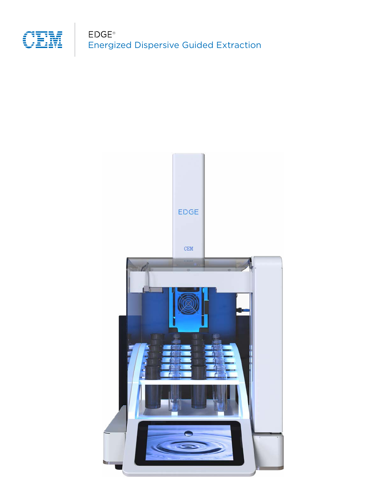

Energized Dispersive Guided Extraction EDGE<sup>®</sup>

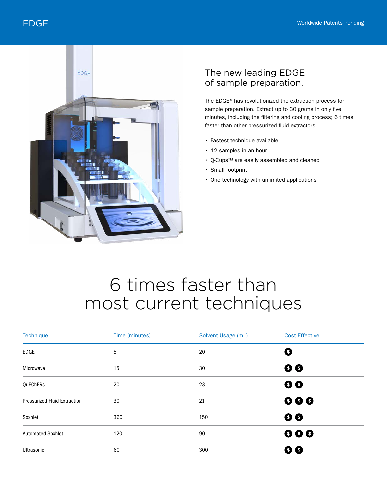

### The new leading EDGE of sample preparation.

The EDGE® has revolutionized the extraction process for sample preparation. Extract up to 30 grams in only five minutes, including the filtering and cooling process; 6 times faster than other pressurized fluid extractors.

- Fastest technique available
- 12 samples in an hour
- Q-Cups™ are easily assembled and cleaned
- Small footprint
- One technology with unlimited applications

# 6 times faster than most current techniques

| Technique                           | Time (minutes) | Solvent Usage (mL) | <b>Cost Effective</b>   |
|-------------------------------------|----------------|--------------------|-------------------------|
| EDGE                                | 5              | 20                 | ❸                       |
| Microwave                           | 15             | 30                 | $\bullet$               |
| QuEChERs                            | 20             | 23                 | $\bullet$               |
| <b>Pressurized Fluid Extraction</b> | 30             | 21                 | 000                     |
| Soxhlet                             | 360            | 150                | $\bullet$               |
| <b>Automated Soxhlet</b>            | 120            | 90                 | $\bullet\bullet\bullet$ |
| Ultrasonic                          | 60             | 300                | 00                      |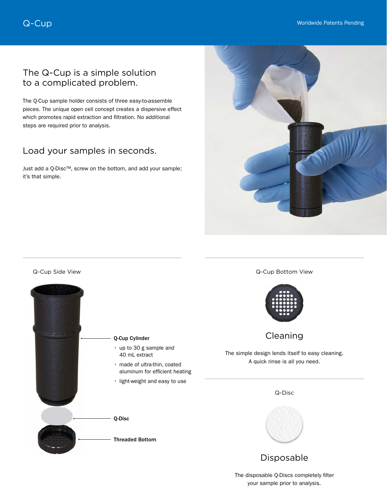### The Q-Cup is a simple solution to a complicated problem.

The Q-Cup sample holder consists of three easy-to-assemble pieces. The unique open cell concept creates a dispersive effect which promotes rapid extraction and filtration. No additional steps are required prior to analysis.

# Load your samples in seconds.

Just add a Q-Disc™, screw on the bottom, and add your sample; it's that simple.





Q-Cup Bottom View



Cleaning

The simple design lends itself to easy cleaning. A quick rinse is all you need.





### Disposable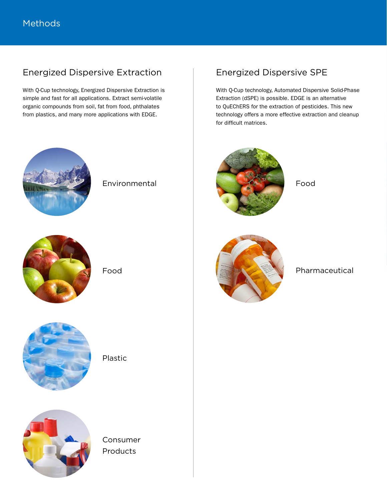# Energized Dispersive Extraction

With Q-Cup technology, Energized Dispersive Extraction is simple and fast for all applications. Extract semi-volatile organic compounds from soil, fat from food, phthalates from plastics, and many more applications with EDGE.



Environmental



Food



Plastic



Consumer Products

# Energized Dispersive SPE

With Q-Cup technology, Automated Dispersive Solid-Phase Extraction (dSPE) is possible. EDGE is an alternative to QuEChERS for the extraction of pesticides. This new technology offers a more effective extraction and cleanup for difficult matrices.



Food



Pharmaceutical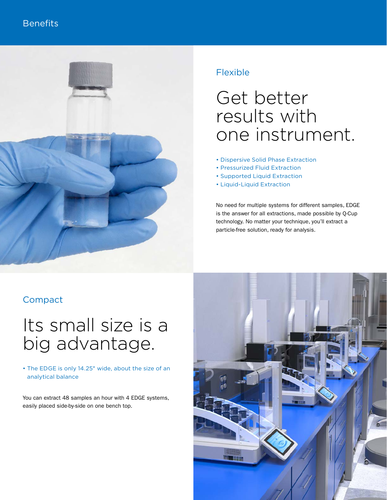

# Flexible

# Get better results with one instrument.

- Dispersive Solid Phase Extraction
- Pressurized Fluid Extraction
- Supported Liquid Extraction
- Liquid-Liquid Extraction

No need for multiple systems for different samples, EDGE is the answer for all extractions, made possible by Q-Cup technology. No matter your technique, you'll extract a particle-free solution, ready for analysis.

# Compact

# Its small size is a big advantage.

#### • The EDGE is only 14.25" wide, about the size of an analytical balance

You can extract 48 samples an hour with 4 EDGE systems, easily placed side-by-side on one bench top.

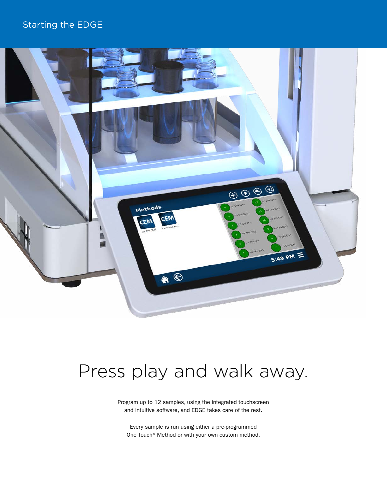# Starting the EDGE



# Press play and walk away.

Program up to 12 samples, using the integrated touchscreen and intuitive software, and EDGE takes care of the rest.

Every sample is run using either a pre-programmed One Touch® Method or with your own custom method.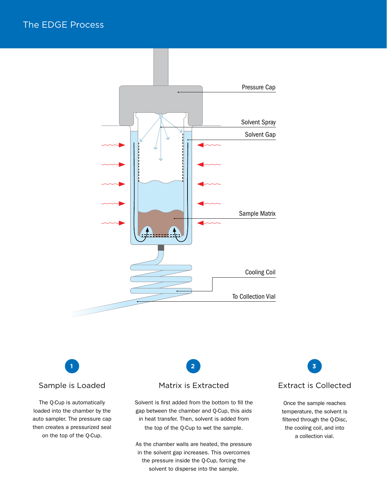



Sample is Loaded

The Q-Cup is automatically loaded into the chamber by the auto sampler. The pressure cap then creates a pressurized seal on the top of the Q-Cup.

#### Matrix is Extracted

Solvent is first added from the bottom to fill the gap between the chamber and Q-Cup, this aids in heat transfer. Then, solvent is added from the top of the Q-Cup to wet the sample.

As the chamber walls are heated, the pressure in the solvent gap increases. This overcomes the pressure inside the Q-Cup, forcing the solvent to disperse into the sample.

Extract is Collected

Once the sample reaches temperature, the solvent is filtered through the Q-Disc, the cooling coil, and into a collection vial.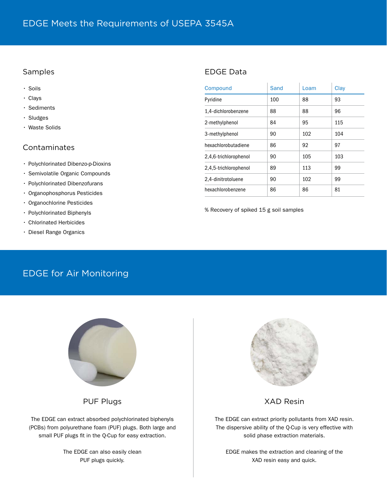#### Samples

| $\cdot$ Soils                                                                           | Compound              | Sand           | Loam       | Clay |
|-----------------------------------------------------------------------------------------|-----------------------|----------------|------------|------|
| $\cdot$ Clays                                                                           | Pyridine              | 100            | 88         | 93   |
| · Sediments<br>$\cdot$ Sludges<br>• Waste Solids                                        | 1.4-dichlorobenzene   | 88             | 88         | 96   |
|                                                                                         | 2-methylphenol        | 84             | 95         | 115  |
|                                                                                         | 3-methylphenol        | 90             | 102        | 104  |
| Contaminates<br>• Polychlorinated Dibenzo-p-Dioxins<br>· Semivolatile Organic Compounds | hexachlorobutadiene   | 86             | 92         | 97   |
|                                                                                         | 2,4,6-trichlorophenol | 90             | 105        | 103  |
|                                                                                         | 2,4,5-trichlorophenol | 89<br>90<br>86 | 113<br>102 | 99   |
|                                                                                         | 2,4-dinitrotoluene    |                |            | 99   |
| · Polychlorinated Dibenzofurans                                                         |                       |                | 86         |      |
| • Organophosphorus Pesticides                                                           | hexachlorobenzene     |                |            | 81   |
|                                                                                         |                       |                |            |      |

• Organochlorine Pesticides

- Polychlorinated Biphenyls
- Chlorinated Herbicides
- Diesel Range Organics

#### % Recovery of spiked 15 g soil samples

# EDGE for Air Monitoring



PUF Plugs

The EDGE can extract absorbed polychlorinated biphenyls (PCBs) from polyurethane foam (PUF) plugs. Both large and small PUF plugs fit in the Q-Cup for easy extraction.

> The EDGE can also easily clean PUF plugs quickly.



#### XAD Resin

The EDGE can extract priority pollutants from XAD resin. The dispersive ability of the Q-Cup is very effective with solid phase extraction materials.

EDGE makes the extraction and cleaning of the XAD resin easy and quick.

### EDGE Data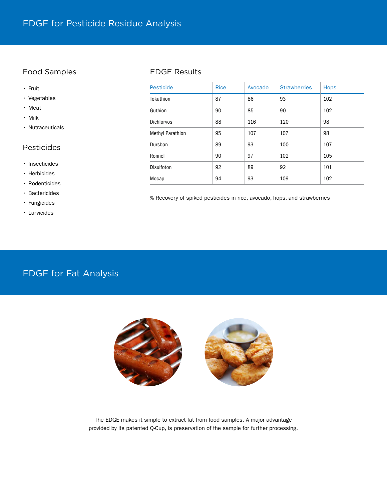### Food Samples

#### • Fruit

- Vegetables
- Meat
- Milk
- Nutraceuticals

#### Pesticides

- Insecticides
- Herbicides
- Rodenticides
- Bactericides
- Fungicides
- Larvicides

#### EDGE Results

| <b>Pesticide</b>        | <b>Rice</b> | Avocado | <b>Strawberries</b> | <b>Hops</b> |
|-------------------------|-------------|---------|---------------------|-------------|
| Tokuthion               | 87          | 86      | 93                  | 102         |
| Guthion                 | 90          | 85      | 90                  | 102         |
| <b>Dichlorvos</b>       | 88          | 116     | 120                 | 98          |
| <b>Methyl Parathion</b> | 95          | 107     | 107                 | 98          |
| Dursban                 | 89          | 93      | 100                 | 107         |
| Ronnel                  | 90          | 97      | 102                 | 105         |
| Disulfoton              | 92          | 89      | 92                  | 101         |
| Mocap                   | 94          | 93      | 109                 | 102         |

% Recovery of spiked pesticides in rice, avocado, hops, and strawberries

# EDGE for Fat Analysis



The EDGE makes it simple to extract fat from food samples. A major advantage provided by its patented Q-Cup, is preservation of the sample for further processing.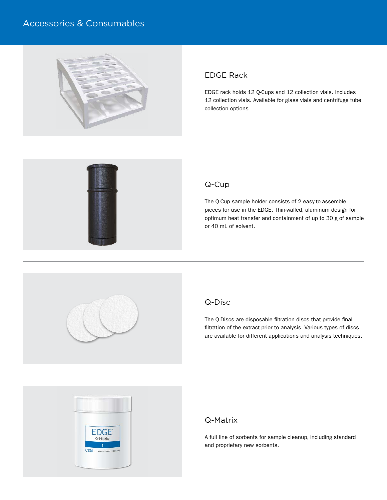# Accessories & Consumables



#### EDGE Rack

EDGE rack holds 12 Q-Cups and 12 collection vials. Includes 12 collection vials. Available for glass vials and centrifuge tube collection options.



#### Q-Cup

The Q-Cup sample holder consists of 2 easy-to-assemble pieces for use in the EDGE. Thin-walled, aluminum design for optimum heat transfer and containment of up to 30 g of sample or 40 mL of solvent.



#### Q-Disc

The Q-Discs are disposable filtration discs that provide final filtration of the extract prior to analysis. Various types of discs are available for different applications and analysis techniques.



#### Q-Matrix

A full line of sorbents for sample cleanup, including standard and proprietary new sorbents.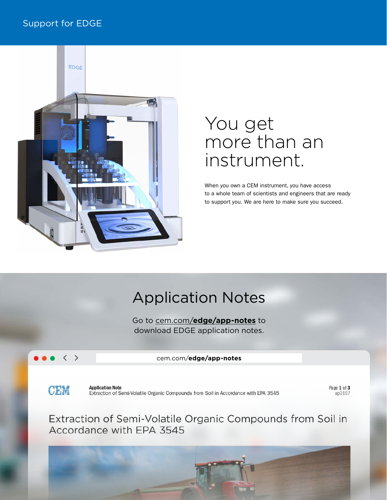## Support for EDGE



# You get more than an instrument.

When you own a CEM instrument, you have access to a whole team of scientists and engineers that are ready to support you. We are here to make sure you succeed.

# Application Notes

Go to cem.com/**[edge/app-notes](http://cem.com/en/literature?cem_products=EDGE&literature_type=Application_Notes)** to download EDGE application notes.

### $\langle \quad \rangle$

cem.com/**edge/app-notes**

**CEM** 

**Application Note** Extraction of Semi-Volatile Organic Compounds from Soil in Accordance with EPA 3545 Page 1 of 3 ap0107

Extraction of Semi-Volatile Organic Compounds from Soil in Accordance with EPA 3545